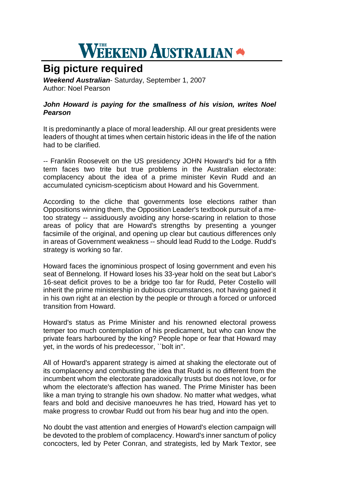## **WEEKEND AUSTRALIAN**

## **Big picture required**

*Weekend Australian*- Saturday, September 1, 2007 Author: Noel Pearson

## *John Howard is paying for the smallness of his vision, writes Noel Pearson*

It is predominantly a place of moral leadership. All our great presidents were leaders of thought at times when certain historic ideas in the life of the nation had to be clarified.

-- Franklin Roosevelt on the US presidency JOHN Howard's bid for a fifth term faces two trite but true problems in the Australian electorate: complacency about the idea of a prime minister Kevin Rudd and an accumulated cynicism-scepticism about Howard and his Government.

According to the cliche that governments lose elections rather than Oppositions winning them, the Opposition Leader's textbook pursuit of a metoo strategy -- assiduously avoiding any horse-scaring in relation to those areas of policy that are Howard's strengths by presenting a younger facsimile of the original, and opening up clear but cautious differences only in areas of Government weakness -- should lead Rudd to the Lodge. Rudd's strategy is working so far.

Howard faces the ignominious prospect of losing government and even his seat of Bennelong. If Howard loses his 33-year hold on the seat but Labor's 16-seat deficit proves to be a bridge too far for Rudd, Peter Costello will inherit the prime ministership in dubious circumstances, not having gained it in his own right at an election by the people or through a forced or unforced transition from Howard.

Howard's status as Prime Minister and his renowned electoral prowess temper too much contemplation of his predicament, but who can know the private fears harboured by the king? People hope or fear that Howard may yet, in the words of his predecessor, ``bolt in''.

All of Howard's apparent strategy is aimed at shaking the electorate out of its complacency and combusting the idea that Rudd is no different from the incumbent whom the electorate paradoxically trusts but does not love, or for whom the electorate's affection has waned. The Prime Minister has been like a man trying to strangle his own shadow. No matter what wedges, what fears and bold and decisive manoeuvres he has tried, Howard has yet to make progress to crowbar Rudd out from his bear hug and into the open.

No doubt the vast attention and energies of Howard's election campaign will be devoted to the problem of complacency. Howard's inner sanctum of policy concocters, led by Peter Conran, and strategists, led by Mark Textor, see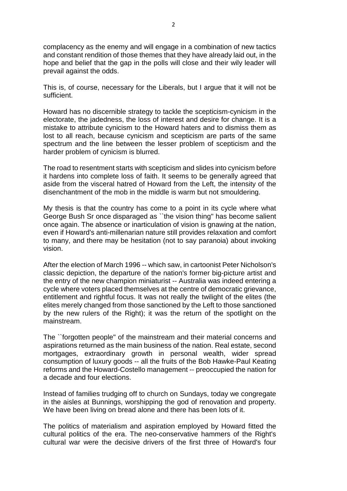complacency as the enemy and will engage in a combination of new tactics and constant rendition of those themes that they have already laid out, in the hope and belief that the gap in the polls will close and their wily leader will prevail against the odds.

This is, of course, necessary for the Liberals, but I argue that it will not be sufficient.

Howard has no discernible strategy to tackle the scepticism-cynicism in the electorate, the jadedness, the loss of interest and desire for change. It is a mistake to attribute cynicism to the Howard haters and to dismiss them as lost to all reach, because cynicism and scepticism are parts of the same spectrum and the line between the lesser problem of scepticism and the harder problem of cynicism is blurred.

The road to resentment starts with scepticism and slides into cynicism before it hardens into complete loss of faith. It seems to be generally agreed that aside from the visceral hatred of Howard from the Left, the intensity of the disenchantment of the mob in the middle is warm but not smouldering.

My thesis is that the country has come to a point in its cycle where what George Bush Sr once disparaged as ``the vision thing'' has become salient once again. The absence or inarticulation of vision is gnawing at the nation, even if Howard's anti-millenarian nature still provides relaxation and comfort to many, and there may be hesitation (not to say paranoia) about invoking vision.

After the election of March 1996 -- which saw, in cartoonist Peter Nicholson's classic depiction, the departure of the nation's former big-picture artist and the entry of the new champion miniaturist -- Australia was indeed entering a cycle where voters placed themselves at the centre of democratic grievance, entitlement and rightful focus. It was not really the twilight of the elites (the elites merely changed from those sanctioned by the Left to those sanctioned by the new rulers of the Right); it was the return of the spotlight on the mainstream.

The ``forgotten people'' of the mainstream and their material concerns and aspirations returned as the main business of the nation. Real estate, second mortgages, extraordinary growth in personal wealth, wider spread consumption of luxury goods -- all the fruits of the Bob Hawke-Paul Keating reforms and the Howard-Costello management -- preoccupied the nation for a decade and four elections.

Instead of families trudging off to church on Sundays, today we congregate in the aisles at Bunnings, worshipping the god of renovation and property. We have been living on bread alone and there has been lots of it.

The politics of materialism and aspiration employed by Howard fitted the cultural politics of the era. The neo-conservative hammers of the Right's cultural war were the decisive drivers of the first three of Howard's four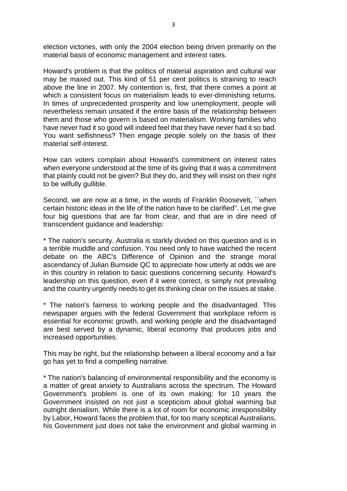election victories, with only the 2004 election being driven primarily on the material basis of economic management and interest rates.

Howard's problem is that the politics of material aspiration and cultural war may be maxed out. This kind of 51 per cent politics is straining to reach above the line in 2007. My contention is, first, that there comes a point at which a consistent focus on materialism leads to ever-diminishing returns. In times of unprecedented prosperity and low unemployment, people will nevertheless remain unsated if the entire basis of the relationship between them and those who govern is based on materialism. Working families who have never had it so good will indeed feel that they have never had it so bad. You want selfishness? Then engage people solely on the basis of their material self-interest.

How can voters complain about Howard's commitment on interest rates when everyone understood at the time of its giving that it was a commitment that plainly could not be given? But they do, and they will insist on their right to be wilfully gullible.

Second, we are now at a time, in the words of Franklin Roosevelt, ``when certain historic ideas in the life of the nation have to be clarified''. Let me give four big questions that are far from clear, and that are in dire need of transcendent guidance and leadership:

\* The nation's security. Australia is starkly divided on this question and is in a terrible muddle and confusion. You need only to have watched the recent debate on the ABC's Difference of Opinion and the strange moral ascendancy of Julian Burnside QC to appreciate how utterly at odds we are in this country in relation to basic questions concerning security. Howard's leadership on this question, even if it were correct, is simply not prevailing and the country urgently needs to get its thinking clear on the issues at stake.

\* The nation's fairness to working people and the disadvantaged. This newspaper argues with the federal Government that workplace reform is essential for economic growth, and working people and the disadvantaged are best served by a dynamic, liberal economy that produces jobs and increased opportunities.

This may be right, but the relationship between a liberal economy and a fair go has yet to find a compelling narrative.

\* The nation's balancing of environmental responsibility and the economy is a matter of great anxiety to Australians across the spectrum. The Howard Government's problem is one of its own making: for 10 years the Government insisted on not just a scepticism about global warming but outright denialism. While there is a lot of room for economic irresponsibility by Labor, Howard faces the problem that, for too many sceptical Australians, his Government just does not take the environment and global warming in